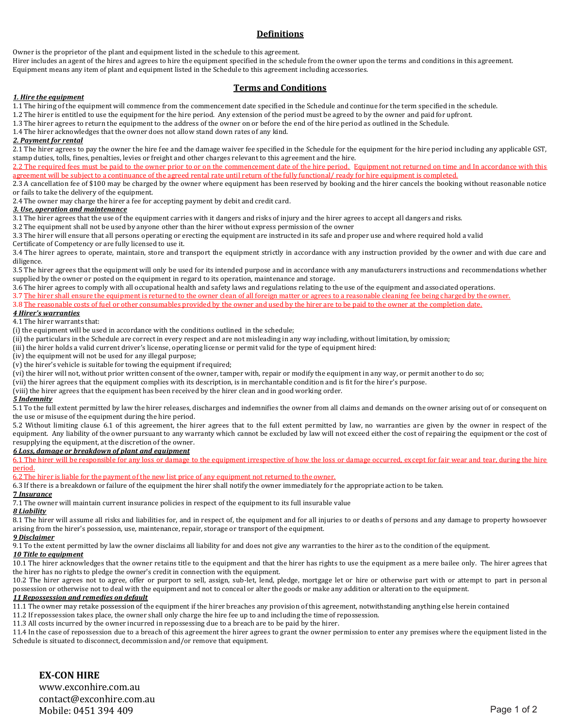## **Definitions**

Owner is the proprietor of the plant and equipment listed in the schedule to this agreement.

Hirer includes an agent of the hires and agrees to hire the equipment specified in the schedule from the owner upon the terms and conditions in this agreement. Equipment means any item of plant and equipment listed in the Schedule to this agreement including accessories.

## **Terms and Conditions**

### *1. Hire the equipment*

1.1 The hiring of the equipment will commence from the commencement date specified in the Schedule and continue for the term specified in the schedule.

1.2 The hirer is entitled to use the equipment for the hire period. Any extension of the period must be agreed to by the owner and paid for upfront.

1.3 The hirer agrees to return the equipment to the address of the owner on or before the end of the hire period as outlined in the Schedule.

1.4 The hirer acknowledges that the owner does not allow stand down rates of any kind.

### *2. Payment for rental*

2.1 The hirer agrees to pay the owner the hire fee and the damage waiver fee specified in the Schedule for the equipment for the hire period including any applicable GST, stamp duties, tolls, fines, penalties, levies or freight and other charges relevant to this agreement and the hire.

2.2 The required fees must be paid to the owner prior to or on the commencement date of the hire period. Equipment not returned on time and In accordance with this agreement will be subject to a continuance of the agreed rental rate until return of the fully functional/ ready for hire equipment is completed.

2.3 A cancellation fee of \$100 may be charged by the owner where equipment has been reserved by booking and the hirer cancels the booking without reasonable notice or fails to take the delivery of the equipment.

2.4 The owner may charge the hirer a fee for accepting payment by debit and credit card.

### *3. Use, operation and maintenance*

3.1 The hirer agrees that the use of the equipment carries with it dangers and risks of injury and the hirer agrees to accept all dangers and risks.

3.2 The equipment shall not be used by anyone other than the hirer without express permission of the owner

3.3 The hirer will ensure that all persons operating or erecting the equipment are instructed in its safe and proper use and where required hold a valid

Certificate of Competency or are fully licensed to use it.

3.4 The hirer agrees to operate, maintain, store and transport the equipment strictly in accordance with any instruction provided by the owner and with due care and diligence.

3.5 The hirer agrees that the equipment will only be used for its intended purpose and in accordance with any manufacturers instructions and recommendations whether supplied by the owner or posted on the equipment in regard to its operation, maintenance and storage.

3.6 The hirer agrees to comply with all occupational health and safety laws and regulations relating to the use of the equipment and associated operations.

3.7 The hirer shall ensure the equipment is returned to the owner clean of all foreign matter or agrees to a reasonable cleaning fee being charged by the owner.

3.8 The reasonable costs of fuel or other consumables provided by the owner and used by the hirer are to be paid to the owner at the completion date.

### *4 Hirer's warranties*

4.1 The hirer warrants that:

(i) the equipment will be used in accordance with the conditions outlined in the schedule;

(ii) the particulars in the Schedule are correct in every respect and are not misleading in any way including, without limitation, by omission;

(iii) the hirer holds a valid current driver's license, operating license or permit valid for the type of equipment hired:

(iv) the equipment will not be used for any illegal purpose;

(v) the hirer's vehicle is suitable for towing the equipment if required;

(vi) the hirer will not, without prior written consent of the owner, tamper with, repair or modify the equipment in any way, or permit another to do so;

(vii) the hirer agrees that the equipment complies with its description, is in merchantable condition and is fit for the hirer's purpose.

(viii) the hirer agrees that the equipment has been received by the hirer clean and in good working order.

### *5 Indemnity*

5.1 To the full extent permitted by law the hirer releases, discharges and indemnifies the owner from all claims and demands on the owner arising out of or consequent on the use or misuse of the equipment during the hire period.

5.2 Without limiting clause 6.1 of this agreement, the hirer agrees that to the full extent permitted by law, no warranties are given by the owner in respect of the equipment. Any liability of the owner pursuant to any warranty which cannot be excluded by law will not exceed either the cost of repairing the equipment or the cost of resupplying the equipment, at the discretion of the owner.

### *6 Loss, damage or breakdown of plant and equipment*

6.1 The hirer will be responsible for any loss or damage to the equipment irrespective of how the loss or damage occurred, except for fair wear and tear, during the hire period.

6.2 The hirer is liable for the payment of the new list price of any equipment not returned to the owner.

6.3 If there is a breakdown or failure of the equipment the hirer shall notify the owner immediately for the appropriate action to be taken.

### **7** *Insurance*

7.1 The owner will maintain current insurance policies in respect of the equipment to its full insurable value

# *8 Liability*

8.1 The hirer will assume all risks and liabilities for, and in respect of, the equipment and for all injuries to or deaths of persons and any damage to property howsoever arising from the hirer's possession, use, maintenance, repair, storage or transport of the equipment.

*9 Disclaimer*

9.1 To the extent permitted by law the owner disclaims all liability for and does not give any warranties to the hirer as to the condition of the equipment.

### *10 Title to equipment*

10.1 The hirer acknowledges that the owner retains title to the equipment and that the hirer has rights to use the equipment as a mere bailee only. The hirer agrees that the hirer has no rights to pledge the owner's credit in connection with the equipment.

10.2 The hirer agrees not to agree, offer or purport to sell, assign, sub-let, lend, pledge, mortgage let or hire or otherwise part with or attempt to part in personal possession or otherwise not to deal with the equipment and not to conceal or alter the goods or make any addition or alteration to the equipment.

## *11 Repossession and remedies on default*

11.1 The owner may retake possession of the equipment if the hirer breaches any provision of this agreement, notwithstanding anything else herein contained

11.2 If repossession takes place, the owner shall only charge the hire fee up to and including the time of repossession.

11.3 All costs incurred by the owner incurred in repossessing due to a breach are to be paid by the hirer.

11.4 In the case of repossession due to a breach of this agreement the hirer agrees to grant the owner permission to enter any premises where the equipment listed in the Schedule is situated to disconnect, decommission and/or remove that equipment.

## **EX-CON HIRE**

www.exconhire.com.au contact@exconhire.com.au Mobile: 0451 394 409